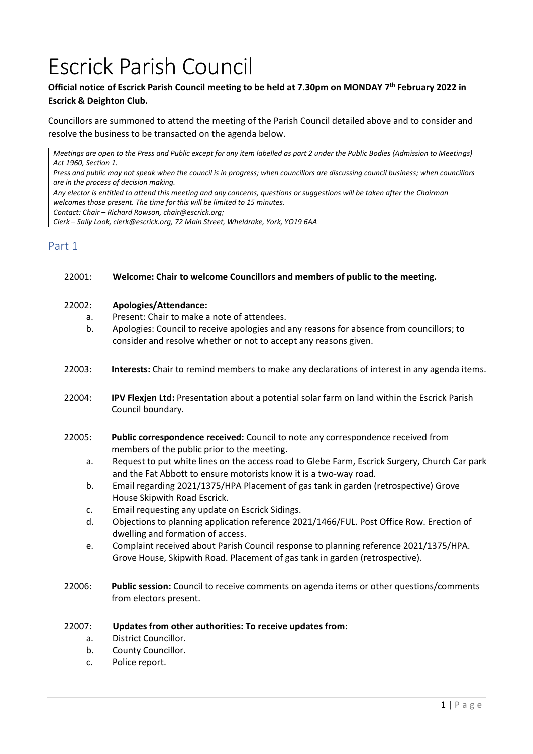# Escrick Parish Council

# **Official notice of Escrick Parish Council meeting to be held at 7.30pm on MONDAY 7 th February 2022 in Escrick & Deighton Club.**

Councillors are summoned to attend the meeting of the Parish Council detailed above and to consider and resolve the business to be transacted on the agenda below.

*Meetings are open to the Press and Public except for any item labelled as part 2 under the Public Bodies (Admission to Meetings) Act 1960, Section 1.*

*Press and public may not speak when the council is in progress; when councillors are discussing council business; when councillors are in the process of decision making.*

*Any elector is entitled to attend this meeting and any concerns, questions or suggestions will be taken after the Chairman welcomes those present. The time for this will be limited to 15 minutes.*

*Contact: Chair – Richard Rowson, chair@escrick.org;* 

*Clerk – Sally Look, clerk@escrick.org, 72 Main Street, Wheldrake, York, YO19 6AA*

# Part 1

#### 22001: **Welcome: Chair to welcome Councillors and members of public to the meeting.**

# 22002: **Apologies/Attendance:**

- a. Present: Chair to make a note of attendees.
- b. Apologies: Council to receive apologies and any reasons for absence from councillors; to consider and resolve whether or not to accept any reasons given.
- 22003: **Interests:** Chair to remind members to make any declarations of interest in any agenda items.
- 22004: **IPV Flexjen Ltd:** Presentation about a potential solar farm on land within the Escrick Parish Council boundary.
- 22005: **Public correspondence received:** Council to note any correspondence received from members of the public prior to the meeting.
	- a. Request to put white lines on the access road to Glebe Farm, Escrick Surgery, Church Car park and the Fat Abbott to ensure motorists know it is a two-way road.
	- b. Email regarding [2021/1375/HPA](https://public.selby.gov.uk/online-applications/applicationDetails.do?keyVal=R29C3ZNX0C000&activeTab=summary) Placement of gas tank in garden (retrospective) Grove House [Skipwith](https://public.selby.gov.uk/online-applications/applicationDetails.do?keyVal=R29C3ZNX0C000&activeTab=summary) Road Escrick.
	- c. Email requesting any update on Escrick Sidings.
	- d. Objections to planning application reference 2021/1466/FUL. Post Office Row. Erection of dwelling and formation of access.
	- e. Complaint received about Parish Council response to planning reference 2021/1375/HPA. Grove House, Skipwith Road. Placement of gas tank in garden (retrospective).
- 22006: **Public session:** Council to receive comments on agenda items or other questions/comments from electors present.

#### 22007: **Updates from other authorities: To receive updates from:**

- a. District Councillor.
- b. County Councillor.
- c. Police report.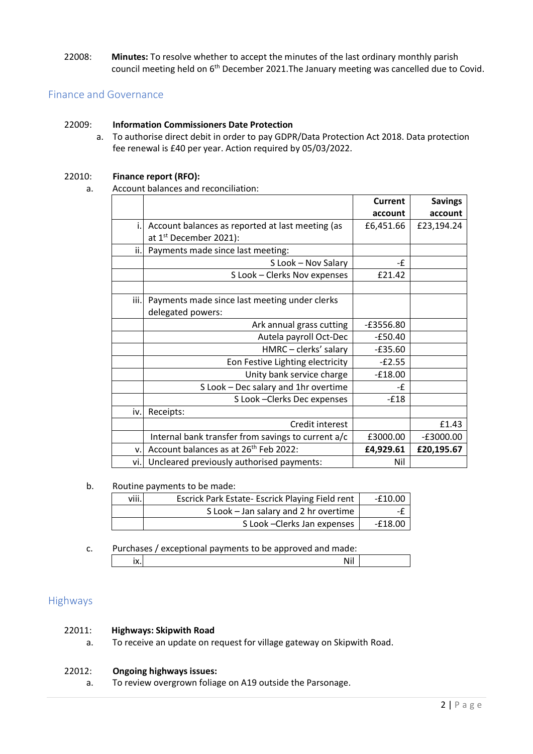22008: **Minutes:** To resolve whether to accept the minutes of the last ordinary monthly parish council meeting held on 6<sup>th</sup> December 2021. The January meeting was cancelled due to Covid.

# Finance and Governance

# 22009: **Information Commissioners Date Protection**

a. To authorise direct debit in order to pay GDPR/Data Protection Act 2018. Data protection fee renewal is £40 per year. Action required by 05/03/2022.

#### 22010: **Finance report (RFO):**

a. Account balances and reconciliation:

|      |                                                    | Current     | <b>Savings</b> |
|------|----------------------------------------------------|-------------|----------------|
|      |                                                    | account     | account        |
| i.   | Account balances as reported at last meeting (as   | £6,451.66   | £23,194.24     |
|      | at 1 <sup>st</sup> December 2021):                 |             |                |
| ii.l | Payments made since last meeting:                  |             |                |
|      | S Look - Nov Salary                                | -£          |                |
|      | S Look - Clerks Nov expenses                       | £21.42      |                |
|      |                                                    |             |                |
| iii. | Payments made since last meeting under clerks      |             |                |
|      | delegated powers:                                  |             |                |
|      | Ark annual grass cutting                           | $-£3556.80$ |                |
|      | Autela payroll Oct-Dec                             | $-£50.40$   |                |
|      | HMRC - clerks' salary                              | $-£35.60$   |                |
|      | Eon Festive Lighting electricity                   | $-E2.55$    |                |
|      | Unity bank service charge                          | $-£18.00$   |                |
|      | S Look - Dec salary and 1hr overtime               | -£          |                |
|      | S Look - Clerks Dec expenses                       | $-£18$      |                |
| iv.  | Receipts:                                          |             |                |
|      | Credit interest                                    |             | £1.43          |
|      | Internal bank transfer from savings to current a/c | £3000.00    | $-E3000.00$    |
| v.l  | Account balances as at 26 <sup>th</sup> Feb 2022:  | £4,929.61   | £20,195.67     |
| vi.l | Uncleared previously authorised payments:          | Nil         |                |

#### b. Routine payments to be made:

| viii. | Escrick Park Estate- Escrick Playing Field rent | -£10.00 |
|-------|-------------------------------------------------|---------|
|       | S Look - Jan salary and 2 hr overtime           | -£      |
|       | S Look - Clerks Jan expenses                    | -£18.00 |

c. Purchases / exceptional payments to be approved and made:

# Highways

#### 22011: **Highways: Skipwith Road**

a. To receive an update on request for village gateway on Skipwith Road.

# 22012: **Ongoing highways issues:**

a. To review overgrown foliage on A19 outside the Parsonage.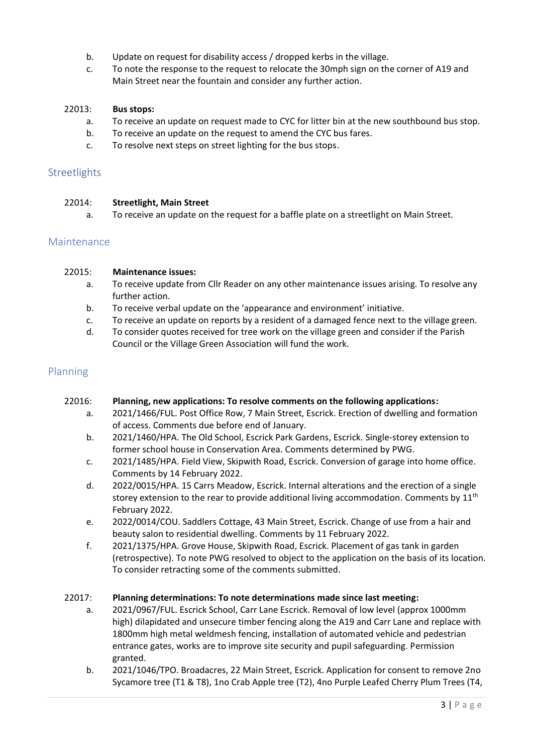- b. Update on request for disability access / dropped kerbs in the village.
- c. To note the response to the request to relocate the 30mph sign on the corner of A19 and Main Street near the fountain and consider any further action.

# 22013: **Bus stops:**

- a. To receive an update on request made to CYC for litter bin at the new southbound bus stop.
- b. To receive an update on the request to amend the CYC bus fares.
- c. To resolve next steps on street lighting for the bus stops.

# **Streetlights**

#### 22014: **Streetlight, Main Street**

a. To receive an update on the request for a baffle plate on a streetlight on Main Street.

# Maintenance

#### 22015: **Maintenance issues:**

- a. To receive update from Cllr Reader on any other maintenance issues arising. To resolve any further action.
- b. To receive verbal update on the 'appearance and environment' initiative.
- c. To receive an update on reports by a resident of a damaged fence next to the village green.
- d. To consider quotes received for tree work on the village green and consider if the Parish Council or the Village Green Association will fund the work.

# Planning

#### 22016: **Planning, new applications: To resolve comments on the following applications:**

- a. 2021/1466/FUL. Post Office Row, 7 Main Street, Escrick. Erection of dwelling and formation of access. Comments due before end of January.
- b. 2021/1460/HPA. The Old School, Escrick Park Gardens, Escrick. Single-storey extension to former school house in Conservation Area. Comments determined by PWG.
- c. 2021/1485/HPA. Field View, Skipwith Road, Escrick. Conversion of garage into home office. Comments by 14 February 2022.
- d. 2022/0015/HPA. 15 Carrs Meadow, Escrick. Internal alterations and the erection of a single storey extension to the rear to provide additional living accommodation. Comments by  $11<sup>th</sup>$ February 2022.
- e. 2022/0014/COU. Saddlers Cottage, 43 Main Street, Escrick. Change of use from a hair and beauty salon to residential dwelling. Comments by 11 February 2022.
- f. 2021/1375/HPA. Grove House, Skipwith Road, Escrick. Placement of gas tank in garden (retrospective). To note PWG resolved to object to the application on the basis of its location. To consider retracting some of the comments submitted.

#### 22017: **Planning determinations: To note determinations made since last meeting:**

- a. 2021/0967/FUL. Escrick School, Carr Lane Escrick. Removal of low level (approx 1000mm high) dilapidated and unsecure timber fencing along the A19 and Carr Lane and replace with 1800mm high metal weldmesh fencing, installation of automated vehicle and pedestrian entrance gates, works are to improve site security and pupil safeguarding. Permission granted.
- b. 2021/1046/TPO. Broadacres, 22 Main Street, Escrick. Application for consent to remove 2no Sycamore tree (T1 & T8), 1no Crab Apple tree (T2), 4no Purple Leafed Cherry Plum Trees (T4,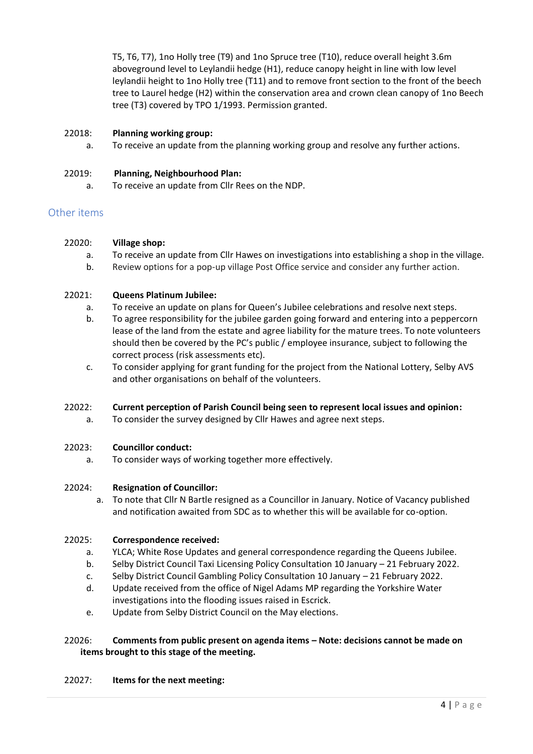T5, T6, T7), 1no Holly tree (T9) and 1no Spruce tree (T10), reduce overall height 3.6m aboveground level to Leylandii hedge (H1), reduce canopy height in line with low level leylandii height to 1no Holly tree (T11) and to remove front section to the front of the beech tree to Laurel hedge (H2) within the conservation area and crown clean canopy of 1no Beech tree (T3) covered by TPO 1/1993. Permission granted.

# 22018: **Planning working group:**

a. To receive an update from the planning working group and resolve any further actions.

#### 22019: **Planning, Neighbourhood Plan:**

a. To receive an update from Cllr Rees on the NDP.

# Other items

#### 22020: **Village shop:**

- a. To receive an update from Cllr Hawes on investigations into establishing a shop in the village.
- b. Review options for a pop-up village Post Office service and consider any further action.

#### 22021: **Queens Platinum Jubilee:**

- a. To receive an update on plans for Queen's Jubilee celebrations and resolve next steps.
- b. To agree responsibility for the jubilee garden going forward and entering into a peppercorn lease of the land from the estate and agree liability for the mature trees. To note volunteers should then be covered by the PC's public / employee insurance, subject to following the correct process (risk assessments etc).
- c. To consider applying for grant funding for the project from the National Lottery, Selby AVS and other organisations on behalf of the volunteers.

#### 22022: **Current perception of Parish Council being seen to represent local issues and opinion:**

a. To consider the survey designed by Cllr Hawes and agree next steps.

#### 22023: **Councillor conduct:**

a. To consider ways of working together more effectively.

#### 22024: **Resignation of Councillor:**

a. To note that Cllr N Bartle resigned as a Councillor in January. Notice of Vacancy published and notification awaited from SDC as to whether this will be available for co-option.

#### 22025: **Correspondence received:**

- a. YLCA; White Rose Updates and general correspondence regarding the Queens Jubilee.
- b. Selby District Council Taxi Licensing Policy Consultation 10 January 21 February 2022.
- c. Selby District Council Gambling Policy Consultation 10 January 21 February 2022.
- d. Update received from the office of Nigel Adams MP regarding the Yorkshire Water investigations into the flooding issues raised in Escrick.
- e. Update from Selby District Council on the May elections.

# 22026: **Comments from public present on agenda items – Note: decisions cannot be made on items brought to this stage of the meeting.**

#### 22027: **Items for the next meeting:**